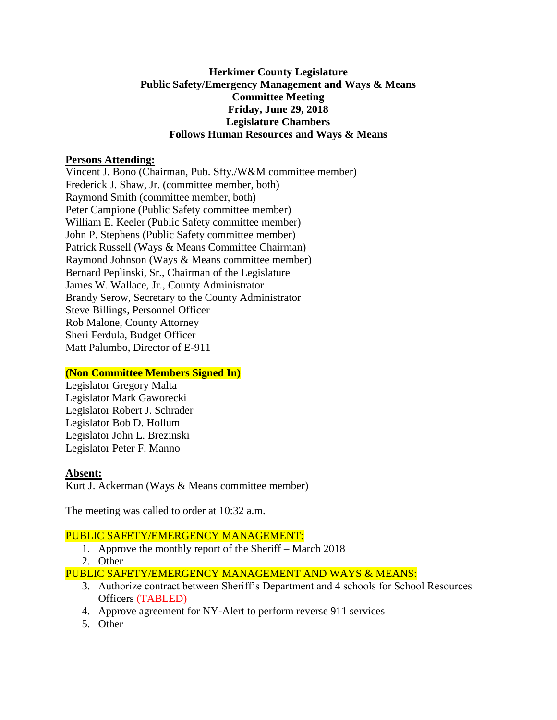# **Herkimer County Legislature Public Safety/Emergency Management and Ways & Means Committee Meeting Friday, June 29, 2018 Legislature Chambers Follows Human Resources and Ways & Means**

#### **Persons Attending:**

Vincent J. Bono (Chairman, Pub. Sfty./W&M committee member) Frederick J. Shaw, Jr. (committee member, both) Raymond Smith (committee member, both) Peter Campione (Public Safety committee member) William E. Keeler (Public Safety committee member) John P. Stephens (Public Safety committee member) Patrick Russell (Ways & Means Committee Chairman) Raymond Johnson (Ways & Means committee member) Bernard Peplinski, Sr., Chairman of the Legislature James W. Wallace, Jr., County Administrator Brandy Serow, Secretary to the County Administrator Steve Billings, Personnel Officer Rob Malone, County Attorney Sheri Ferdula, Budget Officer Matt Palumbo, Director of E-911

#### **(Non Committee Members Signed In)**

Legislator Gregory Malta Legislator Mark Gaworecki Legislator Robert J. Schrader Legislator Bob D. Hollum Legislator John L. Brezinski Legislator Peter F. Manno

#### **Absent:**

Kurt J. Ackerman (Ways & Means committee member)

The meeting was called to order at 10:32 a.m.

#### PUBLIC SAFETY/EMERGENCY MANAGEMENT:

- 1. Approve the monthly report of the Sheriff March 2018
- 2. Other

PUBLIC SAFETY/EMERGENCY MANAGEMENT AND WAYS & MEANS:

- 3. Authorize contract between Sheriff's Department and 4 schools for School Resources Officers (TABLED)
- 4. Approve agreement for NY-Alert to perform reverse 911 services
- 5. Other